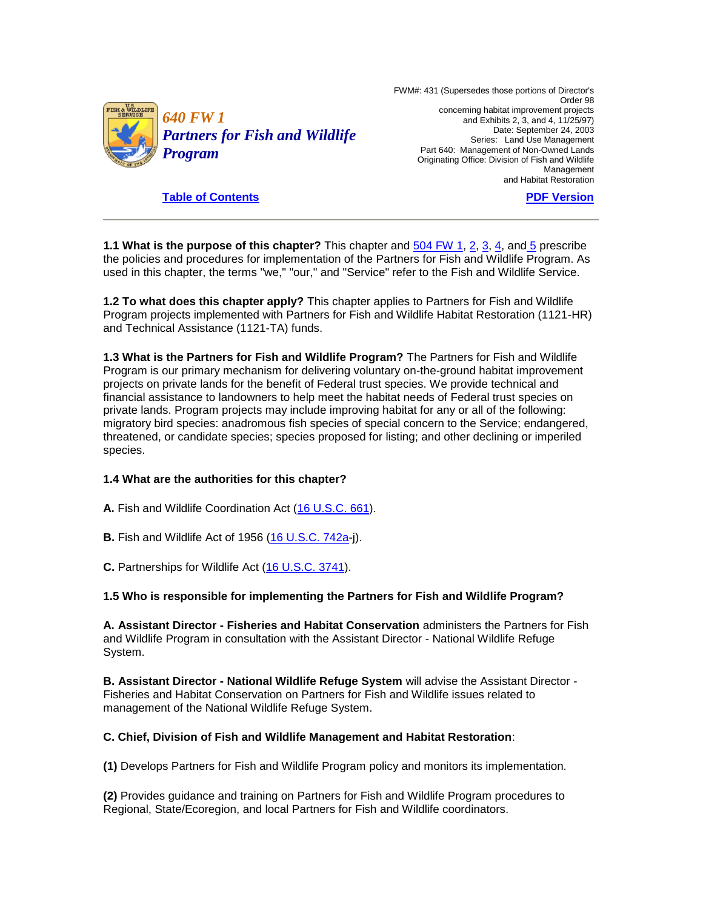

 FWM#: 431 (Supersedes those portions of Director's concerning habitat improvement projects and Exhibits 2, 3, and 4, 11/25/97) Date: September 24, 2003 Part 640: Management of Non-Owned Lands Originating Office: Division of Fish and Wildlife Order 98 Series: Land Use Management Management and Habitat Restoration

**[Table of Contents](http://policy.fws.gov/640fw1toc.html)** 

**[PDF Version](http://policy.fws.gov/640fw1.pdf)** 

**1.1 What is the purpose of this chapter?** This chapter and  $\frac{504 \text{ FW}}{1}$ , [2,](http://www.fws.gov/policy/504fw2.html) [3,](http://www.fws.gov/policy/504fw3.html) [4,](http://www.fws.gov/policy/504fw4.html) an[d 5](http://www.fws.gov/policy/504fw5.html) prescribe used in this chapter, the terms "we," "our," and "Service" refer to the Fish and Wildlife Service. the policies and procedures for implementation of the Partners for Fish and Wildlife Program. As

**1.2 To what does this chapter apply?** This chapter applies to Partners for Fish and Wildlife Program projects implemented with Partners for Fish and Wildlife Habitat Restoration (1121-HR) and Technical Assistance (1121-TA) funds.

 private lands. Program projects may include improving habitat for any or all of the following: **1.3 What is the Partners for Fish and Wildlife Program?** The Partners for Fish and Wildlife Program is our primary mechanism for delivering voluntary on-the-ground habitat improvement projects on private lands for the benefit of Federal trust species. We provide technical and financial assistance to landowners to help meet the habitat needs of Federal trust species on migratory bird species: anadromous fish species of special concern to the Service; endangered, threatened, or candidate species; species proposed for listing; and other declining or imperiled species.

### **1.4 What are the authorities for this chapter?**

**A.** Fish and Wildlife Coordination Act [\(16 U.S.C. 661\)](http://www.fws.gov/scripts/exit-to-fed.cfm?link=http://uscode.house.gov/search/criteria.shtml&linkname=U.S.%20Code%20Search).

- **B.** Fish and Wildlife Act of 1956 [\(16 U.S.C. 742a-](http://www.fws.gov/scripts/exit-to-fed.cfm?link=http://uscode.house.gov/search/criteria.shtml&linkname=U.S.%20Code%20Search)j).
- **C.** Partnerships for Wildlife Act [\(16 U.S.C. 3741\)](http://www.fws.gov/scripts/exit-to-fed.cfm?link=http://uscode.house.gov/search/criteria.shtml&linkname=U.S.%20Code%20Search).

### **1.5 Who is responsible for implementing the Partners for Fish and Wildlife Program?**

 **A. Assistant Director - Fisheries and Habitat Conservation** administers the Partners for Fish and Wildlife Program in consultation with the Assistant Director - National Wildlife Refuge System.

 **B. Assistant Director - National Wildlife Refuge System** will advise the Assistant Director - Fisheries and Habitat Conservation on Partners for Fish and Wildlife issues related to management of the National Wildlife Refuge System.

### **C. Chief, Division of Fish and Wildlife Management and Habitat Restoration**:

**(1)** Develops Partners for Fish and Wildlife Program policy and monitors its implementation.

 **(2)** Provides guidance and training on Partners for Fish and Wildlife Program procedures to Regional, State/Ecoregion, and local Partners for Fish and Wildlife coordinators.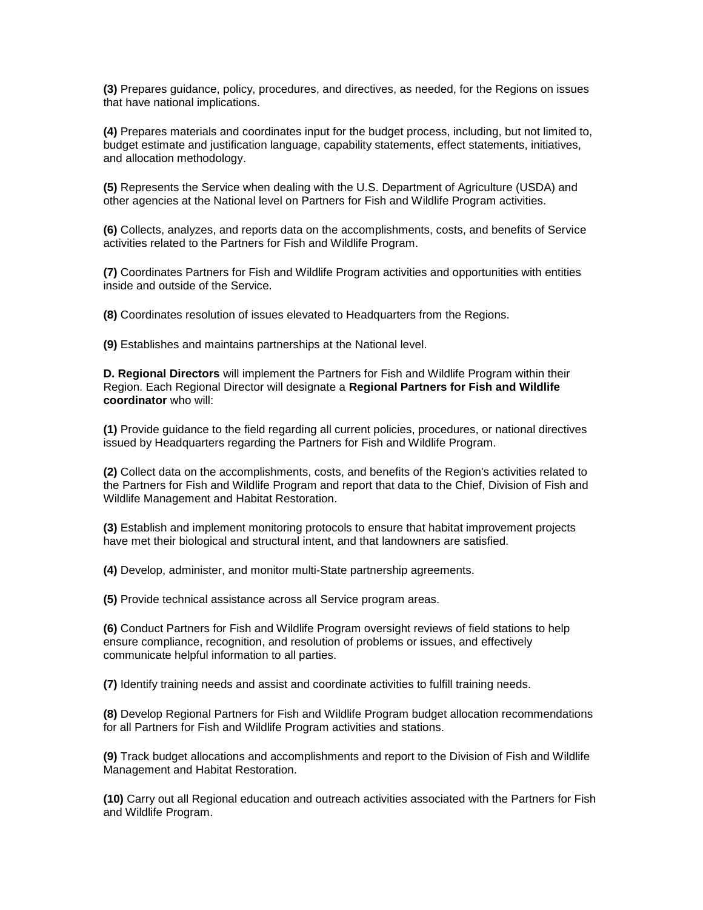**(3)** Prepares guidance, policy, procedures, and directives, as needed, for the Regions on issues that have national implications.

**(4)** Prepares materials and coordinates input for the budget process, including, but not limited to, budget estimate and justification language, capability statements, effect statements, initiatives, and allocation methodology.

 **(5)** Represents the Service when dealing with the U.S. Department of Agriculture (USDA) and other agencies at the National level on Partners for Fish and Wildlife Program activities.

**(6)** Collects, analyzes, and reports data on the accomplishments, costs, and benefits of Service activities related to the Partners for Fish and Wildlife Program.

**(7)** Coordinates Partners for Fish and Wildlife Program activities and opportunities with entities inside and outside of the Service.

**(8)** Coordinates resolution of issues elevated to Headquarters from the Regions.

**(9)** Establishes and maintains partnerships at the National level.

 **D. Regional Directors** will implement the Partners for Fish and Wildlife Program within their Region. Each Regional Director will designate a **Regional Partners for Fish and Wildlife coordinator** who will:

 **(1)** Provide guidance to the field regarding all current policies, procedures, or national directives issued by Headquarters regarding the Partners for Fish and Wildlife Program.

 **(2)** Collect data on the accomplishments, costs, and benefits of the Region's activities related to the Partners for Fish and Wildlife Program and report that data to the Chief, Division of Fish and Wildlife Management and Habitat Restoration.

**(3)** Establish and implement monitoring protocols to ensure that habitat improvement projects have met their biological and structural intent, and that landowners are satisfied.

**(4)** Develop, administer, and monitor multi-State partnership agreements.

**(5)** Provide technical assistance across all Service program areas.

**(6)** Conduct Partners for Fish and Wildlife Program oversight reviews of field stations to help ensure compliance, recognition, and resolution of problems or issues, and effectively communicate helpful information to all parties.

**(7)** Identify training needs and assist and coordinate activities to fulfill training needs.

**(8)** Develop Regional Partners for Fish and Wildlife Program budget allocation recommendations for all Partners for Fish and Wildlife Program activities and stations.

**(9)** Track budget allocations and accomplishments and report to the Division of Fish and Wildlife Management and Habitat Restoration.

 **(10)** Carry out all Regional education and outreach activities associated with the Partners for Fish and Wildlife Program.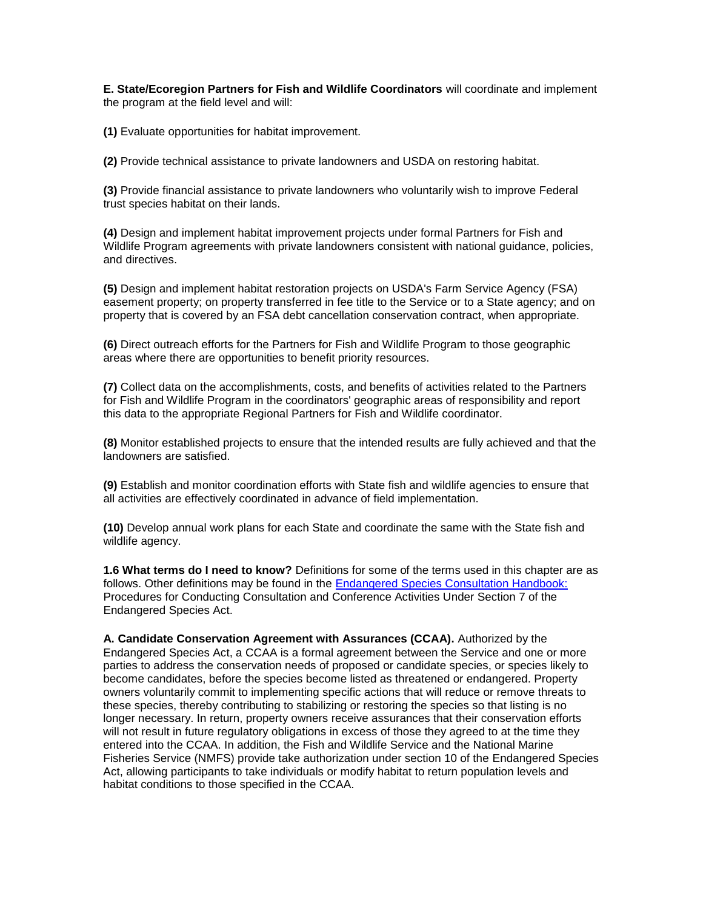**E. State/Ecoregion Partners for Fish and Wildlife Coordinators** will coordinate and implement the program at the field level and will:

**(1)** Evaluate opportunities for habitat improvement.

**(2)** Provide technical assistance to private landowners and USDA on restoring habitat.

**(3)** Provide financial assistance to private landowners who voluntarily wish to improve Federal trust species habitat on their lands.

**(4)** Design and implement habitat improvement projects under formal Partners for Fish and Wildlife Program agreements with private landowners consistent with national guidance, policies, and directives.

 easement property; on property transferred in fee title to the Service or to a State agency; and on **(5)** Design and implement habitat restoration projects on USDA's Farm Service Agency (FSA) property that is covered by an FSA debt cancellation conservation contract, when appropriate.

 **(6)** Direct outreach efforts for the Partners for Fish and Wildlife Program to those geographic areas where there are opportunities to benefit priority resources.

 this data to the appropriate Regional Partners for Fish and Wildlife coordinator. **(7)** Collect data on the accomplishments, costs, and benefits of activities related to the Partners for Fish and Wildlife Program in the coordinators' geographic areas of responsibility and report

**(8)** Monitor established projects to ensure that the intended results are fully achieved and that the landowners are satisfied.

**(9)** Establish and monitor coordination efforts with State fish and wildlife agencies to ensure that all activities are effectively coordinated in advance of field implementation.

 **(10)** Develop annual work plans for each State and coordinate the same with the State fish and wildlife agency.

 **1.6 What terms do I need to know?** Definitions for some of the terms used in this chapter are as follows. Other definitions may be found in the [Endangered Species Consultation Handbook:](http://www.fws.gov/endangered/esa-library/index.html#consultations)  Procedures for Conducting Consultation and Conference Activities Under Section 7 of the Endangered Species Act.

 **A. Candidate Conservation Agreement with Assurances (CCAA).** Authorized by the will not result in future regulatory obligations in excess of those they agreed to at the time they Act, allowing participants to take individuals or modify habitat to return population levels and Endangered Species Act, a CCAA is a formal agreement between the Service and one or more parties to address the conservation needs of proposed or candidate species, or species likely to become candidates, before the species become listed as threatened or endangered. Property owners voluntarily commit to implementing specific actions that will reduce or remove threats to these species, thereby contributing to stabilizing or restoring the species so that listing is no longer necessary. In return, property owners receive assurances that their conservation efforts entered into the CCAA. In addition, the Fish and Wildlife Service and the National Marine Fisheries Service (NMFS) provide take authorization under section 10 of the Endangered Species habitat conditions to those specified in the CCAA.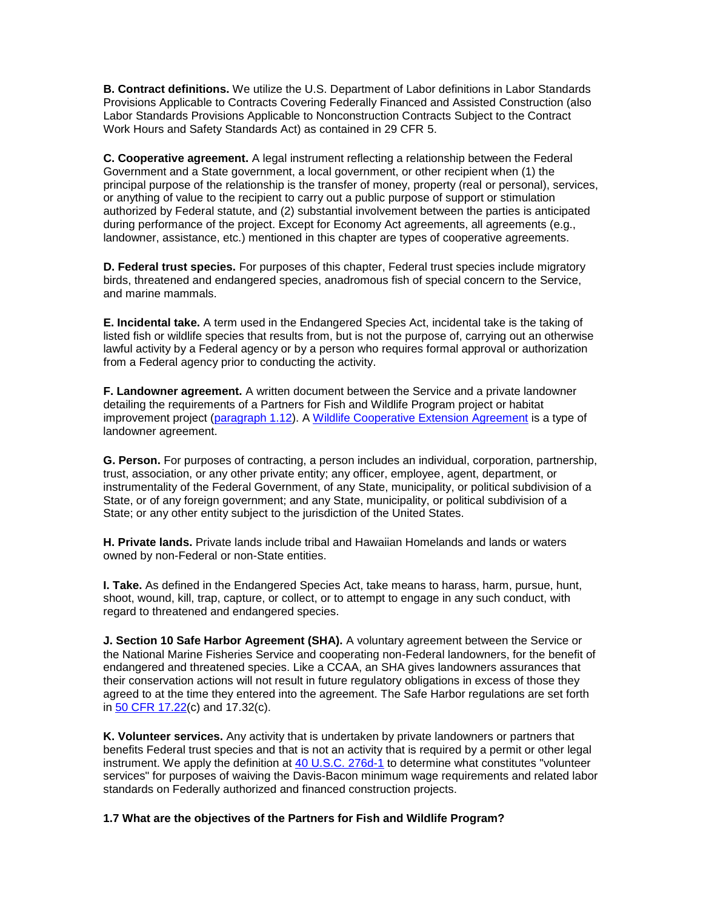Provisions Applicable to Contracts Covering Federally Financed and Assisted Construction (also Work Hours and Safety Standards Act) as contained in 29 CFR 5. **B. Contract definitions.** We utilize the U.S. Department of Labor definitions in Labor Standards Labor Standards Provisions Applicable to Nonconstruction Contracts Subject to the Contract

 **C. Cooperative agreement.** A legal instrument reflecting a relationship between the Federal Government and a State government, a local government, or other recipient when (1) the landowner, assistance, etc.) mentioned in this chapter are types of cooperative agreements. principal purpose of the relationship is the transfer of money, property (real or personal), services, or anything of value to the recipient to carry out a public purpose of support or stimulation authorized by Federal statute, and (2) substantial involvement between the parties is anticipated during performance of the project. Except for Economy Act agreements, all agreements (e.g.,

**D. Federal trust species.** For purposes of this chapter, Federal trust species include migratory birds, threatened and endangered species, anadromous fish of special concern to the Service, and marine mammals.

 lawful activity by a Federal agency or by a person who requires formal approval or authorization **E. Incidental take.** A term used in the Endangered Species Act, incidental take is the taking of listed fish or wildlife species that results from, but is not the purpose of, carrying out an otherwise from a Federal agency prior to conducting the activity.

 **F. Landowner agreement.** A written document between the Service and a private landowner improvement project [\(paragraph 1.12\)](http://www.fws.gov/policy/640fw1.html#1.12). A [Wildlife Cooperative Extension Agreement](http://forms.fws.gov/3-2257.pdf) is a type of detailing the requirements of a Partners for Fish and Wildlife Program project or habitat landowner agreement.

**G. Person.** For purposes of contracting, a person includes an individual, corporation, partnership, trust, association, or any other private entity; any officer, employee, agent, department, or instrumentality of the Federal Government, of any State, municipality, or political subdivision of a State, or of any foreign government; and any State, municipality, or political subdivision of a State; or any other entity subject to the jurisdiction of the United States.

**H. Private lands.** Private lands include tribal and Hawaiian Homelands and lands or waters owned by non-Federal or non-State entities.

**I. Take.** As defined in the Endangered Species Act, take means to harass, harm, pursue, hunt, shoot, wound, kill, trap, capture, or collect, or to attempt to engage in any such conduct, with regard to threatened and endangered species.

 **J. Section 10 Safe Harbor Agreement (SHA).** A voluntary agreement between the Service or their conservation actions will not result in future regulatory obligations in excess of those they agreed to at the time they entered into the agreement. The Safe Harbor regulations are set forth the National Marine Fisheries Service and cooperating non-Federal landowners, for the benefit of endangered and threatened species. Like a CCAA, an SHA gives landowners assurances that in [50 CFR 17.22\(](http://www.fws.gov/scripts/exit-to-fed.cfm?link=http://www.gpoaccess.gov/ecfr/&linkname=eCFR)c) and 17.32(c).

 **K. Volunteer services.** Any activity that is undertaken by private landowners or partners that benefits Federal trust species and that is not an activity that is required by a permit or other legal instrument. We apply the definition at [40 U.S.C. 276d-1](http://www.fws.gov/scripts/exit-to-fed.cfm?link=http://uscode.house.gov/search/criteria.shtml&linkname=U.S.%20Code%20Search) to determine what constitutes "volunteer services" for purposes of waiving the Davis-Bacon minimum wage requirements and related labor standards on Federally authorized and financed construction projects.

**1.7 What are the objectives of the Partners for Fish and Wildlife Program?**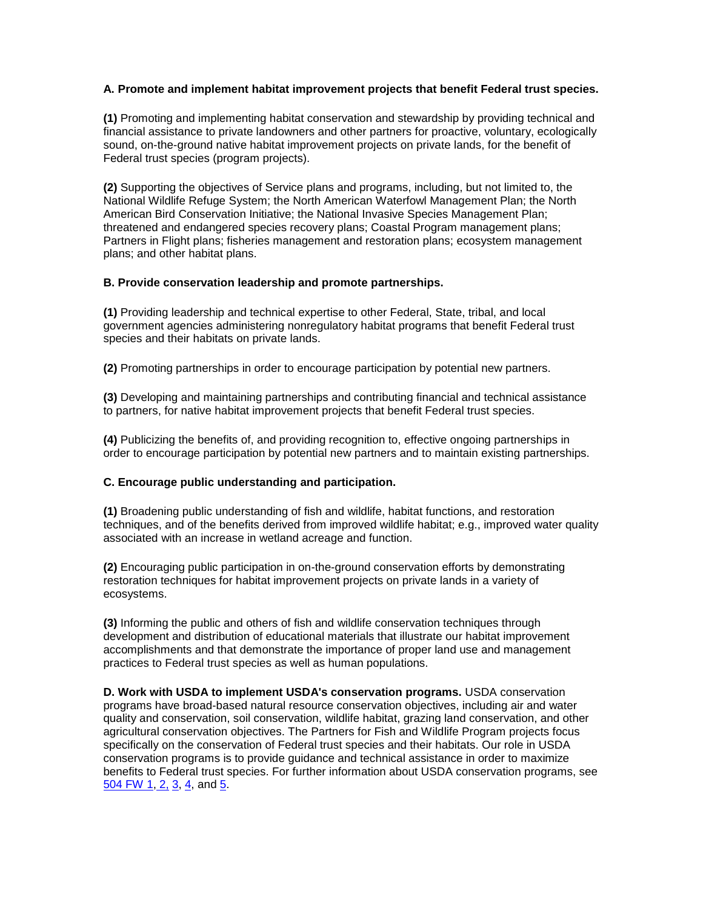## **A. Promote and implement habitat improvement projects that benefit Federal trust species.**

**(1)** Promoting and implementing habitat conservation and stewardship by providing technical and financial assistance to private landowners and other partners for proactive, voluntary, ecologically sound, on-the-ground native habitat improvement projects on private lands, for the benefit of Federal trust species (program projects).

**(2)** Supporting the objectives of Service plans and programs, including, but not limited to, the National Wildlife Refuge System; the North American Waterfowl Management Plan; the North American Bird Conservation Initiative; the National Invasive Species Management Plan; threatened and endangered species recovery plans; Coastal Program management plans; Partners in Flight plans; fisheries management and restoration plans; ecosystem management plans; and other habitat plans.

## **B. Provide conservation leadership and promote partnerships.**

 species and their habitats on private lands. **(1)** Providing leadership and technical expertise to other Federal, State, tribal, and local government agencies administering nonregulatory habitat programs that benefit Federal trust

**(2)** Promoting partnerships in order to encourage participation by potential new partners.

**(3)** Developing and maintaining partnerships and contributing financial and technical assistance to partners, for native habitat improvement projects that benefit Federal trust species.

 order to encourage participation by potential new partners and to maintain existing partnerships. **(4)** Publicizing the benefits of, and providing recognition to, effective ongoing partnerships in

# **C. Encourage public understanding and participation.**

 techniques, and of the benefits derived from improved wildlife habitat; e.g., improved water quality **(1)** Broadening public understanding of fish and wildlife, habitat functions, and restoration associated with an increase in wetland acreage and function.

**(2)** Encouraging public participation in on-the-ground conservation efforts by demonstrating restoration techniques for habitat improvement projects on private lands in a variety of ecosystems.

 development and distribution of educational materials that illustrate our habitat improvement **(3)** Informing the public and others of fish and wildlife conservation techniques through accomplishments and that demonstrate the importance of proper land use and management practices to Federal trust species as well as human populations.

504 FW <u>1, [2,](http://www.fws.gov/policy/504fw2.html) [3,](http://www.fws.gov/policy/504fw3.html) [4,](http://www.fws.gov/policy/504fw4.html)</u> and <u>5</u>. **D. Work with USDA to implement USDA's conservation programs.** USDA conservation programs have broad-based natural resource conservation objectives, including air and water quality and conservation, soil conservation, wildlife habitat, grazing land conservation, and other agricultural conservation objectives. The Partners for Fish and Wildlife Program projects focus specifically on the conservation of Federal trust species and their habitats. Our role in USDA conservation programs is to provide guidance and technical assistance in order to maximize benefits to Federal trust species. For further information about USDA conservation programs, see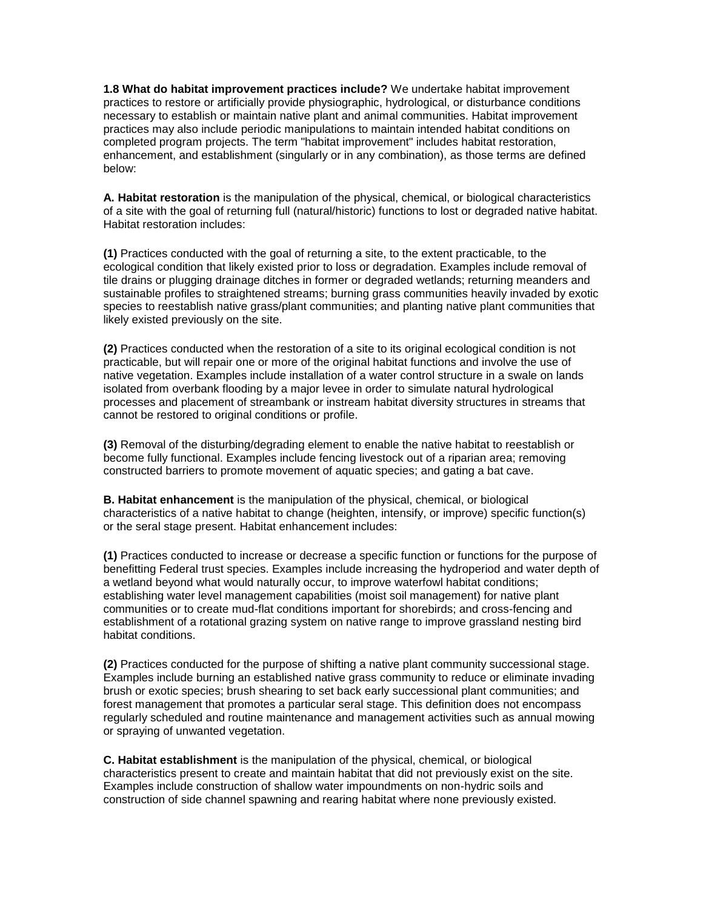**1.8 What do habitat improvement practices include?** We undertake habitat improvement practices to restore or artificially provide physiographic, hydrological, or disturbance conditions necessary to establish or maintain native plant and animal communities. Habitat improvement practices may also include periodic manipulations to maintain intended habitat conditions on completed program projects. The term "habitat improvement" includes habitat restoration, enhancement, and establishment (singularly or in any combination), as those terms are defined below:

 **A. Habitat restoration** is the manipulation of the physical, chemical, or biological characteristics of a site with the goal of returning full (natural/historic) functions to lost or degraded native habitat. Habitat restoration includes:

 ecological condition that likely existed prior to loss or degradation. Examples include removal of sustainable profiles to straightened streams; burning grass communities heavily invaded by exotic **(1)** Practices conducted with the goal of returning a site, to the extent practicable, to the tile drains or plugging drainage ditches in former or degraded wetlands; returning meanders and species to reestablish native grass/plant communities; and planting native plant communities that likely existed previously on the site.

 **(2)** Practices conducted when the restoration of a site to its original ecological condition is not native vegetation. Examples include installation of a water control structure in a swale on lands practicable, but will repair one or more of the original habitat functions and involve the use of isolated from overbank flooding by a major levee in order to simulate natural hydrological processes and placement of streambank or instream habitat diversity structures in streams that cannot be restored to original conditions or profile.

 constructed barriers to promote movement of aquatic species; and gating a bat cave. **(3)** Removal of the disturbing/degrading element to enable the native habitat to reestablish or become fully functional. Examples include fencing livestock out of a riparian area; removing

**B. Habitat enhancement** is the manipulation of the physical, chemical, or biological characteristics of a native habitat to change (heighten, intensify, or improve) specific function(s) or the seral stage present. Habitat enhancement includes:

 benefitting Federal trust species. Examples include increasing the hydroperiod and water depth of establishing water level management capabilities (moist soil management) for native plant establishment of a rotational grazing system on native range to improve grassland nesting bird **(1)** Practices conducted to increase or decrease a specific function or functions for the purpose of a wetland beyond what would naturally occur, to improve waterfowl habitat conditions; communities or to create mud-flat conditions important for shorebirds; and cross-fencing and habitat conditions.

 Examples include burning an established native grass community to reduce or eliminate invading **(2)** Practices conducted for the purpose of shifting a native plant community successional stage. brush or exotic species; brush shearing to set back early successional plant communities; and forest management that promotes a particular seral stage. This definition does not encompass regularly scheduled and routine maintenance and management activities such as annual mowing or spraying of unwanted vegetation.

 Examples include construction of shallow water impoundments on non-hydric soils and **C. Habitat establishment** is the manipulation of the physical, chemical, or biological characteristics present to create and maintain habitat that did not previously exist on the site. construction of side channel spawning and rearing habitat where none previously existed.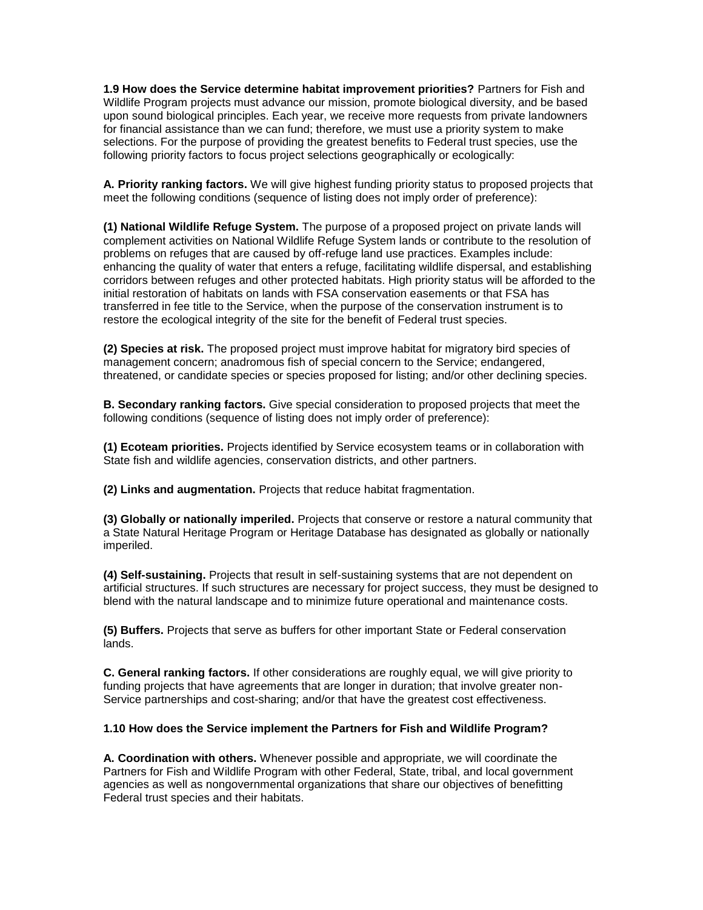**1.9 How does the Service determine habitat improvement priorities?** Partners for Fish and Wildlife Program projects must advance our mission, promote biological diversity, and be based upon sound biological principles. Each year, we receive more requests from private landowners for financial assistance than we can fund; therefore, we must use a priority system to make selections. For the purpose of providing the greatest benefits to Federal trust species, use the following priority factors to focus project selections geographically or ecologically:

 **A. Priority ranking factors.** We will give highest funding priority status to proposed projects that meet the following conditions (sequence of listing does not imply order of preference):

 **(1) National Wildlife Refuge System.** The purpose of a proposed project on private lands will problems on refuges that are caused by off-refuge land use practices. Examples include: initial restoration of habitats on lands with FSA conservation easements or that FSA has restore the ecological integrity of the site for the benefit of Federal trust species. complement activities on National Wildlife Refuge System lands or contribute to the resolution of enhancing the quality of water that enters a refuge, facilitating wildlife dispersal, and establishing corridors between refuges and other protected habitats. High priority status will be afforded to the transferred in fee title to the Service, when the purpose of the conservation instrument is to

**(2) Species at risk.** The proposed project must improve habitat for migratory bird species of management concern; anadromous fish of special concern to the Service; endangered, threatened, or candidate species or species proposed for listing; and/or other declining species.

 following conditions (sequence of listing does not imply order of preference): **B. Secondary ranking factors.** Give special consideration to proposed projects that meet the

**(1) Ecoteam priorities.** Projects identified by Service ecosystem teams or in collaboration with State fish and wildlife agencies, conservation districts, and other partners.

**(2) Links and augmentation.** Projects that reduce habitat fragmentation.

 **(3) Globally or nationally imperiled.** Projects that conserve or restore a natural community that a State Natural Heritage Program or Heritage Database has designated as globally or nationally imperiled.

 blend with the natural landscape and to minimize future operational and maintenance costs. **(4) Self-sustaining.** Projects that result in self-sustaining systems that are not dependent on artificial structures. If such structures are necessary for project success, they must be designed to

**(5) Buffers.** Projects that serve as buffers for other important State or Federal conservation lands.

**C. General ranking factors.** If other considerations are roughly equal, we will give priority to funding projects that have agreements that are longer in duration; that involve greater non-Service partnerships and cost-sharing; and/or that have the greatest cost effectiveness.

#### **1.10 How does the Service implement the Partners for Fish and Wildlife Program?**

**A. Coordination with others.** Whenever possible and appropriate, we will coordinate the Partners for Fish and Wildlife Program with other Federal, State, tribal, and local government agencies as well as nongovernmental organizations that share our objectives of benefitting Federal trust species and their habitats.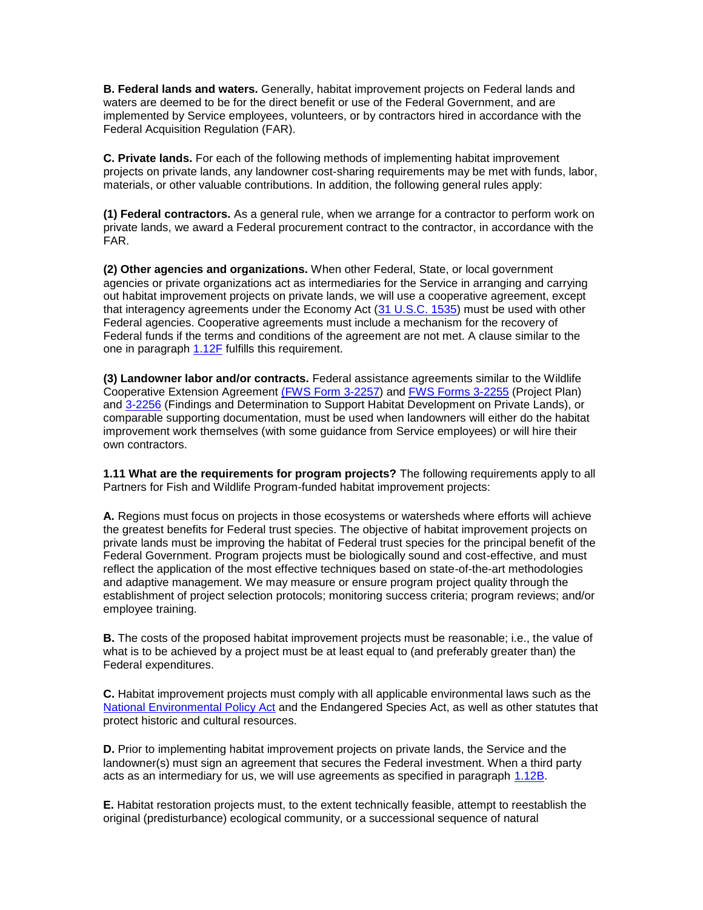**B. Federal lands and waters.** Generally, habitat improvement projects on Federal lands and waters are deemed to be for the direct benefit or use of the Federal Government, and are implemented by Service employees, volunteers, or by contractors hired in accordance with the Federal Acquisition Regulation (FAR).

**C. Private lands.** For each of the following methods of implementing habitat improvement projects on private lands, any landowner cost-sharing requirements may be met with funds, labor, materials, or other valuable contributions. In addition, the following general rules apply:

**(1) Federal contractors.** As a general rule, when we arrange for a contractor to perform work on private lands, we award a Federal procurement contract to the contractor, in accordance with the FAR.

that interagency agreements under the Economy Act [\(31 U.S.C. 1535\)](http://www.fws.gov/scripts/exit-to-fed.cfm?link=http://uscode.house.gov/search/criteria.shtml&linkname=U.S.%20Code%20Search) must be used with other one in paragraph [1.12F](http://www.fws.gov/policy/640fw1.html#1.12F) fulfills this requirement. **(2) Other agencies and organizations.** When other Federal, State, or local government agencies or private organizations act as intermediaries for the Service in arranging and carrying out habitat improvement projects on private lands, we will use a cooperative agreement, except Federal agencies. Cooperative agreements must include a mechanism for the recovery of Federal funds if the terms and conditions of the agreement are not met. A clause similar to the

 comparable supporting documentation, must be used when landowners will either do the habitat **(3) Landowner labor and/or contracts.** Federal assistance agreements similar to the Wildlife Cooperative Extension Agreement [\(FWS Form 3-2257\)](http://forms.fws.gov/3-2257.pdf) and [FWS Forms 3-2255](http://forms.fws.gov/3-2255.pdf) (Project Plan) and [3-2256](http://forms.fws.gov/3-2256.pdf) (Findings and Determination to Support Habitat Development on Private Lands), or improvement work themselves (with some guidance from Service employees) or will hire their own contractors.

**1.11 What are the requirements for program projects?** The following requirements apply to all Partners for Fish and Wildlife Program-funded habitat improvement projects:

 private lands must be improving the habitat of Federal trust species for the principal benefit of the reflect the application of the most effective techniques based on state-of-the-art methodologies **A.** Regions must focus on projects in those ecosystems or watersheds where efforts will achieve the greatest benefits for Federal trust species. The objective of habitat improvement projects on Federal Government. Program projects must be biologically sound and cost-effective, and must and adaptive management. We may measure or ensure program project quality through the establishment of project selection protocols; monitoring success criteria; program reviews; and/or employee training.

 **B.** The costs of the proposed habitat improvement projects must be reasonable; i.e., the value of what is to be achieved by a project must be at least equal to (and preferably greater than) the Federal expenditures.

 **C.** Habitat improvement projects must comply with all applicable environmental laws such as the [National Environmental Policy Act](http://www.fws.gov/habitatconservation/nepa.htm) and the Endangered Species Act, as well as other statutes that protect historic and cultural resources.

**D.** Prior to implementing habitat improvement projects on private lands, the Service and the landowner(s) must sign an agreement that secures the Federal investment. When a third party acts as an intermediary for us, we will use agreements as specified in paragraph [1.12B.](http://www.fws.gov/policy/640fw1.html#1.12B)

**E.** Habitat restoration projects must, to the extent technically feasible, attempt to reestablish the original (predisturbance) ecological community, or a successional sequence of natural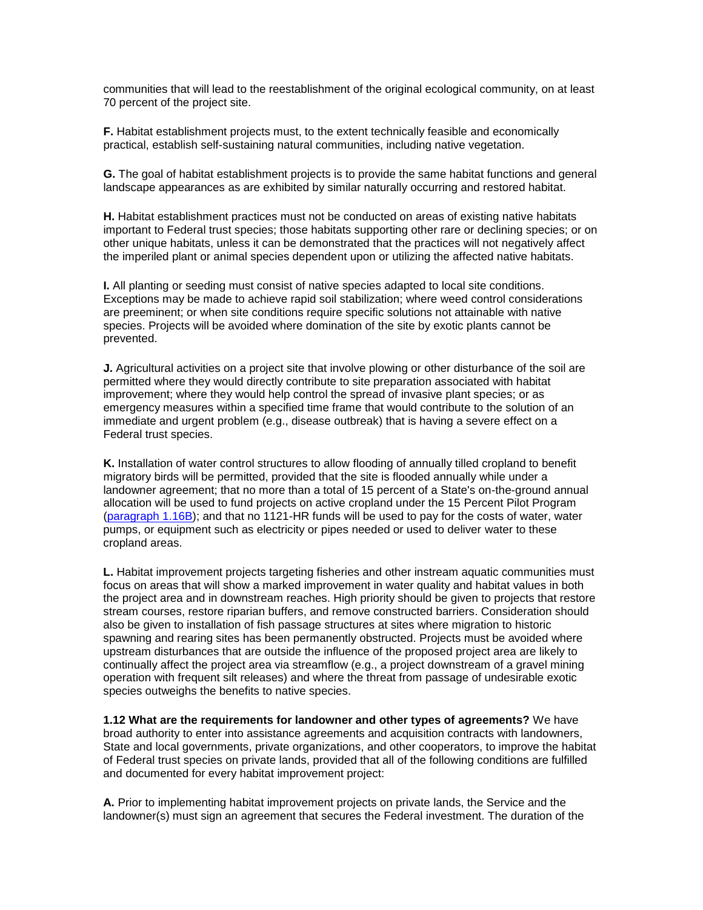communities that will lead to the reestablishment of the original ecological community, on at least 70 percent of the project site.

 **F.** Habitat establishment projects must, to the extent technically feasible and economically practical, establish self-sustaining natural communities, including native vegetation.

 landscape appearances as are exhibited by similar naturally occurring and restored habitat. **G.** The goal of habitat establishment projects is to provide the same habitat functions and general

 the imperiled plant or animal species dependent upon or utilizing the affected native habitats. **H.** Habitat establishment practices must not be conducted on areas of existing native habitats important to Federal trust species; those habitats supporting other rare or declining species; or on other unique habitats, unless it can be demonstrated that the practices will not negatively affect

 **I.** All planting or seeding must consist of native species adapted to local site conditions. Exceptions may be made to achieve rapid soil stabilization; where weed control considerations are preeminent; or when site conditions require specific solutions not attainable with native species. Projects will be avoided where domination of the site by exotic plants cannot be prevented.

**J.** Agricultural activities on a project site that involve plowing or other disturbance of the soil are permitted where they would directly contribute to site preparation associated with habitat improvement; where they would help control the spread of invasive plant species; or as emergency measures within a specified time frame that would contribute to the solution of an immediate and urgent problem (e.g., disease outbreak) that is having a severe effect on a Federal trust species.

 migratory birds will be permitted, provided that the site is flooded annually while under a landowner agreement; that no more than a total of 15 percent of a State's on-the-ground annual allocation will be used to fund projects on active cropland under the 15 Percent Pilot Program [\(paragraph 1.16B\)](http://www.fws.gov/policy/640fw1.html#1.16B); and that no 1121-HR funds will be used to pay for the costs of water, water pumps, or equipment such as electricity or pipes needed or used to deliver water to these **K.** Installation of water control structures to allow flooding of annually tilled cropland to benefit cropland areas.

 **L.** Habitat improvement projects targeting fisheries and other instream aquatic communities must focus on areas that will show a marked improvement in water quality and habitat values in both also be given to installation of fish passage structures at sites where migration to historic the project area and in downstream reaches. High priority should be given to projects that restore stream courses, restore riparian buffers, and remove constructed barriers. Consideration should spawning and rearing sites has been permanently obstructed. Projects must be avoided where upstream disturbances that are outside the influence of the proposed project area are likely to continually affect the project area via streamflow (e.g., a project downstream of a gravel mining operation with frequent silt releases) and where the threat from passage of undesirable exotic species outweighs the benefits to native species.

 of Federal trust species on private lands, provided that all of the following conditions are fulfilled and documented for every habitat improvement project: **1.12 What are the requirements for landowner and other types of agreements?** We have broad authority to enter into assistance agreements and acquisition contracts with landowners, State and local governments, private organizations, and other cooperators, to improve the habitat

**A.** Prior to implementing habitat improvement projects on private lands, the Service and the landowner(s) must sign an agreement that secures the Federal investment. The duration of the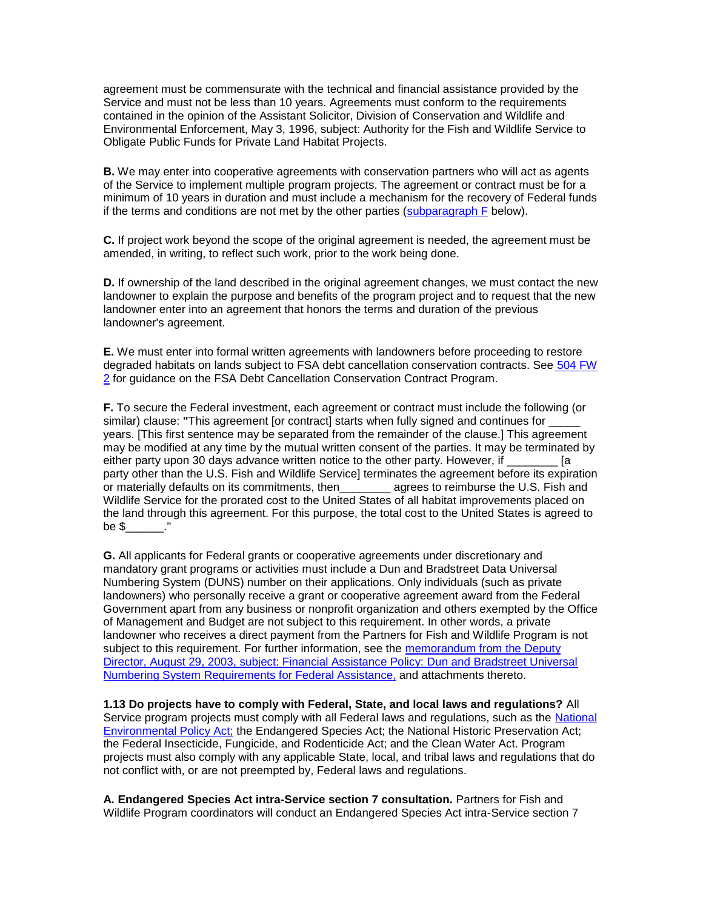agreement must be commensurate with the technical and financial assistance provided by the Service and must not be less than 10 years. Agreements must conform to the requirements contained in the opinion of the Assistant Solicitor, Division of Conservation and Wildlife and Environmental Enforcement, May 3, 1996, subject: Authority for the Fish and Wildlife Service to Obligate Public Funds for Private Land Habitat Projects.

 **B.** We may enter into cooperative agreements with conservation partners who will act as agents of the Service to implement multiple program projects. The agreement or contract must be for a minimum of 10 years in duration and must include a mechanism for the recovery of Federal funds if the terms and conditions are not met by the other parties  $\frac{\text{subparam}}{\text{subparam}}$  F below).

 amended, in writing, to reflect such work, prior to the work being done. **C.** If project work beyond the scope of the original agreement is needed, the agreement must be

 landowner enter into an agreement that honors the terms and duration of the previous **D.** If ownership of the land described in the original agreement changes, we must contact the new landowner to explain the purpose and benefits of the program project and to request that the new landowner's agreement.

degraded habitats on lands subject to FSA debt cancellation conservation contracts. See 504 FW **E.** We must enter into formal written agreements with landowners before proceeding to restore [2](http://www.fws.gov/policy/504fw2.html) for guidance on the FSA Debt Cancellation Conservation Contract Program.

 may be modified at any time by the mutual written consent of the parties. It may be terminated by the land through this agreement. For this purpose, the total cost to the United States is agreed to **F.** To secure the Federal investment, each agreement or contract must include the following (or similar) clause: **"**This agreement [or contract] starts when fully signed and continues for \_\_\_\_\_ years. [This first sentence may be separated from the remainder of the clause.] This agreement either party upon 30 days advance written notice to the other party. However, if  $\qquad \qquad$  [a party other than the U.S. Fish and Wildlife Service] terminates the agreement before its expiration or materially defaults on its commitments, then\_\_\_\_\_\_\_\_ agrees to reimburse the U.S. Fish and Wildlife Service for the prorated cost to the United States of all habitat improvements placed on be \$\_\_\_\_\_\_."

 mandatory grant programs or activities must include a Dun and Bradstreet Data Universal landowners) who personally receive a grant or cooperative agreement award from the Federal of Management and Budget are not subject to this requirement. In other words, a private **G.** All applicants for Federal grants or cooperative agreements under discretionary and Numbering System (DUNS) number on their applications. Only individuals (such as private Government apart from any business or nonprofit organization and others exempted by the Office landowner who receives a direct payment from the Partners for Fish and Wildlife Program is not subject to this requirement. For further information, see the memorandum from the Deputy [Director, August 29, 2003, subject: Financial Assistance Policy: Dun and Bradstreet Universal](http://policy.fws.gov/m0215.pdf)  [Numbering System Requirements for Federal Assistance,](http://policy.fws.gov/m0215.pdf) and attachments thereto.

 **1.13 Do projects have to comply with Federal, State, and local laws and regulations?** All [Environmental Policy Act;](http://www.fws.gov/habitatconservation/nepa.htm) the Endangered Species Act; the National Historic Preservation Act; the Federal Insecticide, Fungicide, and Rodenticide Act; and the Clean Water Act. Program Service program projects must comply with all Federal laws and regulations, such as the National projects must also comply with any applicable State, local, and tribal laws and regulations that do not conflict with, or are not preempted by, Federal laws and regulations.

 **A. Endangered Species Act intra-Service section 7 consultation.** Partners for Fish and Wildlife Program coordinators will conduct an Endangered Species Act intra-Service section 7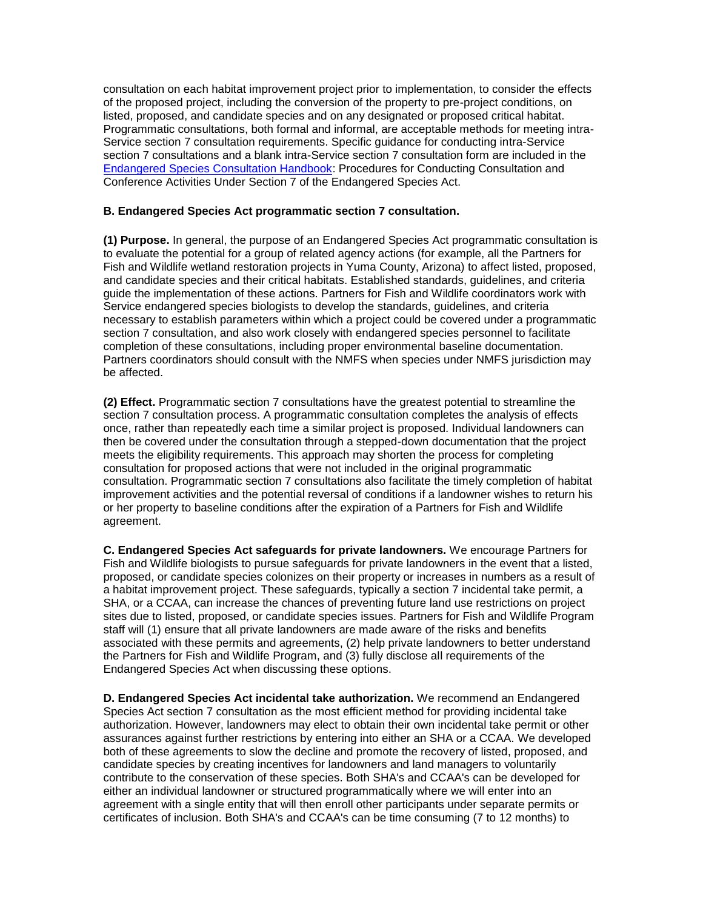section 7 consultations and a blank intra-Service section 7 consultation form are included in the consultation on each habitat improvement project prior to implementation, to consider the effects of the proposed project, including the conversion of the property to pre-project conditions, on listed, proposed, and candidate species and on any designated or proposed critical habitat. Programmatic consultations, both formal and informal, are acceptable methods for meeting intra-Service section 7 consultation requirements. Specific guidance for conducting intra-Service [Endangered Species Consultation Handbook:](http://www.fws.gov/endangered/esa-library/index.html#consultations) Procedures for Conducting Consultation and Conference Activities Under Section 7 of the Endangered Species Act.

### **B. Endangered Species Act programmatic section 7 consultation.**

**(1) Purpose.** In general, the purpose of an Endangered Species Act programmatic consultation is to evaluate the potential for a group of related agency actions (for example, all the Partners for Fish and Wildlife wetland restoration projects in Yuma County, Arizona) to affect listed, proposed, and candidate species and their critical habitats. Established standards, guidelines, and criteria guide the implementation of these actions. Partners for Fish and Wildlife coordinators work with Service endangered species biologists to develop the standards, guidelines, and criteria necessary to establish parameters within which a project could be covered under a programmatic section 7 consultation, and also work closely with endangered species personnel to facilitate completion of these consultations, including proper environmental baseline documentation. Partners coordinators should consult with the NMFS when species under NMFS jurisdiction may be affected.

 consultation. Programmatic section 7 consultations also facilitate the timely completion of habitat or her property to baseline conditions after the expiration of a Partners for Fish and Wildlife **(2) Effect.** Programmatic section 7 consultations have the greatest potential to streamline the section 7 consultation process. A programmatic consultation completes the analysis of effects once, rather than repeatedly each time a similar project is proposed. Individual landowners can then be covered under the consultation through a stepped-down documentation that the project meets the eligibility requirements. This approach may shorten the process for completing consultation for proposed actions that were not included in the original programmatic improvement activities and the potential reversal of conditions if a landowner wishes to return his agreement.

 staff will (1) ensure that all private landowners are made aware of the risks and benefits Endangered Species Act when discussing these options. **C. Endangered Species Act safeguards for private landowners.** We encourage Partners for Fish and Wildlife biologists to pursue safeguards for private landowners in the event that a listed, proposed, or candidate species colonizes on their property or increases in numbers as a result of a habitat improvement project. These safeguards, typically a section 7 incidental take permit, a SHA, or a CCAA, can increase the chances of preventing future land use restrictions on project sites due to listed, proposed, or candidate species issues. Partners for Fish and Wildlife Program associated with these permits and agreements, (2) help private landowners to better understand the Partners for Fish and Wildlife Program, and (3) fully disclose all requirements of the

 both of these agreements to slow the decline and promote the recovery of listed, proposed, and candidate species by creating incentives for landowners and land managers to voluntarily certificates of inclusion. Both SHA's and CCAA's can be time consuming (7 to 12 months) to **D. Endangered Species Act incidental take authorization.** We recommend an Endangered Species Act section 7 consultation as the most efficient method for providing incidental take authorization. However, landowners may elect to obtain their own incidental take permit or other assurances against further restrictions by entering into either an SHA or a CCAA. We developed contribute to the conservation of these species. Both SHA's and CCAA's can be developed for either an individual landowner or structured programmatically where we will enter into an agreement with a single entity that will then enroll other participants under separate permits or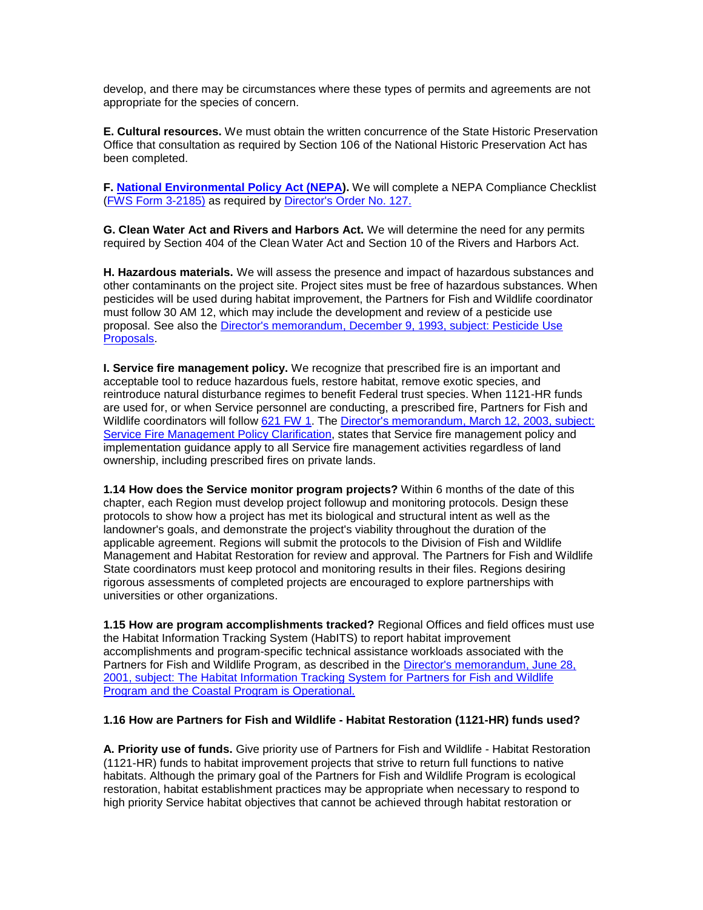develop, and there may be circumstances where these types of permits and agreements are not appropriate for the species of concern.

 Office that consultation as required by Section 106 of the National Historic Preservation Act has **E. Cultural resources.** We must obtain the written concurrence of the State Historic Preservation been completed.

(**FWS Form 3-2185**) as required by **Director's Order No. 127. F. [National Environmental Policy Act \(NEPA\)](http://www.fws.gov/habitatconservation/nepa.htm).** We will complete a NEPA Compliance Checklist

 **G. Clean Water Act and Rivers and Harbors Act.** We will determine the need for any permits required by Section 404 of the Clean Water Act and Section 10 of the Rivers and Harbors Act.

 pesticides will be used during habitat improvement, the Partners for Fish and Wildlife coordinator must follow 30 AM 12, which may include the development and review of a pesticide use proposal. See also the *Director's memorandum, December 9, 1993, subject: Pesticide Use* **H. Hazardous materials.** We will assess the presence and impact of hazardous substances and other contaminants on the project site. Project sites must be free of hazardous substances. When [Proposals.](http://policy.fws.gov/m0227.pdf)

 **I. Service fire management policy.** We recognize that prescribed fire is an important and Wildlife coordinators will follow [621 FW 1.](http://www.fws.gov/policy/621fw1.html) The Director's memorandum, March 12, 2003, subject: ownership, including prescribed fires on private lands. acceptable tool to reduce hazardous fuels, restore habitat, remove exotic species, and reintroduce natural disturbance regimes to benefit Federal trust species. When 1121-HR funds are used for, or when Service personnel are conducting, a prescribed fire, Partners for Fish and [Service Fire Management Policy Clarification,](http://policy.fws.gov/m0205.pdf) states that Service fire management policy and implementation guidance apply to all Service fire management activities regardless of land

 protocols to show how a project has met its biological and structural intent as well as the **1.14 How does the Service monitor program projects?** Within 6 months of the date of this chapter, each Region must develop project followup and monitoring protocols. Design these landowner's goals, and demonstrate the project's viability throughout the duration of the applicable agreement. Regions will submit the protocols to the Division of Fish and Wildlife Management and Habitat Restoration for review and approval. The Partners for Fish and Wildlife State coordinators must keep protocol and monitoring results in their files. Regions desiring rigorous assessments of completed projects are encouraged to explore partnerships with universities or other organizations.

**1.15 How are program accomplishments tracked?** Regional Offices and field offices must use the Habitat Information Tracking System (HabITS) to report habitat improvement accomplishments and program-specific technical assistance workloads associated with the Partners for Fish and Wildlife Program, as described in the [Director's memorandum, June 28,](http://policy.fws.gov/m0217.pdf)  [2001, subject: The Habitat Information Tracking System for Partners for Fish and Wildlife](http://policy.fws.gov/m0217.pdf)  [Program and the Coastal Program is Operational.](http://policy.fws.gov/m0217.pdf) 

## **1.16 How are Partners for Fish and Wildlife - Habitat Restoration (1121-HR) funds used?**

 **A. Priority use of funds.** Give priority use of Partners for Fish and Wildlife - Habitat Restoration restoration, habitat establishment practices may be appropriate when necessary to respond to high priority Service habitat objectives that cannot be achieved through habitat restoration or (1121-HR) funds to habitat improvement projects that strive to return full functions to native habitats. Although the primary goal of the Partners for Fish and Wildlife Program is ecological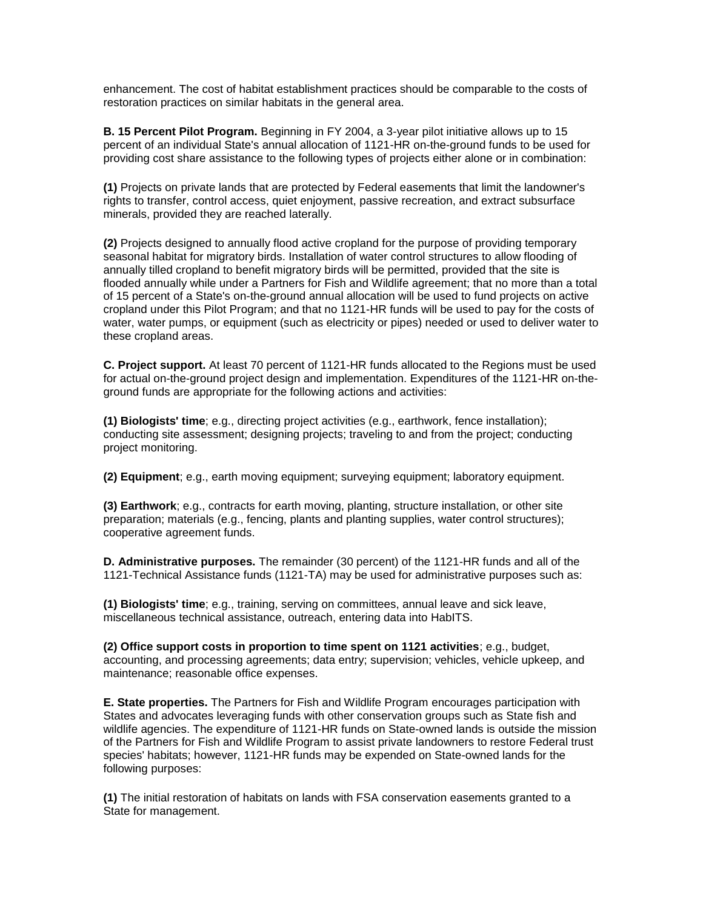restoration practices on similar habitats in the general area. enhancement. The cost of habitat establishment practices should be comparable to the costs of

 **B. 15 Percent Pilot Program.** Beginning in FY 2004, a 3-year pilot initiative allows up to 15 providing cost share assistance to the following types of projects either alone or in combination: percent of an individual State's annual allocation of 1121-HR on-the-ground funds to be used for

 **(1)** Projects on private lands that are protected by Federal easements that limit the landowner's rights to transfer, control access, quiet enjoyment, passive recreation, and extract subsurface minerals, provided they are reached laterally.

 seasonal habitat for migratory birds. Installation of water control structures to allow flooding of annually tilled cropland to benefit migratory birds will be permitted, provided that the site is of 15 percent of a State's on-the-ground annual allocation will be used to fund projects on active cropland under this Pilot Program; and that no 1121-HR funds will be used to pay for the costs of **(2)** Projects designed to annually flood active cropland for the purpose of providing temporary flooded annually while under a Partners for Fish and Wildlife agreement; that no more than a total water, water pumps, or equipment (such as electricity or pipes) needed or used to deliver water to these cropland areas.

**C. Project support.** At least 70 percent of 1121-HR funds allocated to the Regions must be used for actual on-the-ground project design and implementation. Expenditures of the 1121-HR on-theground funds are appropriate for the following actions and activities:

**(1) Biologists' time**; e.g., directing project activities (e.g., earthwork, fence installation); conducting site assessment; designing projects; traveling to and from the project; conducting project monitoring.

**(2) Equipment**; e.g., earth moving equipment; surveying equipment; laboratory equipment.

**(3) Earthwork**; e.g., contracts for earth moving, planting, structure installation, or other site preparation; materials (e.g., fencing, plants and planting supplies, water control structures); cooperative agreement funds.

**D. Administrative purposes.** The remainder (30 percent) of the 1121-HR funds and all of the 1121-Technical Assistance funds (1121-TA) may be used for administrative purposes such as:

 **(1) Biologists' time**; e.g., training, serving on committees, annual leave and sick leave, miscellaneous technical assistance, outreach, entering data into HabITS.

**(2) Office support costs in proportion to time spent on 1121 activities**; e.g., budget, accounting, and processing agreements; data entry; supervision; vehicles, vehicle upkeep, and maintenance; reasonable office expenses.

 species' habitats; however, 1121-HR funds may be expended on State-owned lands for the **E. State properties.** The Partners for Fish and Wildlife Program encourages participation with States and advocates leveraging funds with other conservation groups such as State fish and wildlife agencies. The expenditure of 1121-HR funds on State-owned lands is outside the mission of the Partners for Fish and Wildlife Program to assist private landowners to restore Federal trust following purposes:

 **(1)** The initial restoration of habitats on lands with FSA conservation easements granted to a State for management.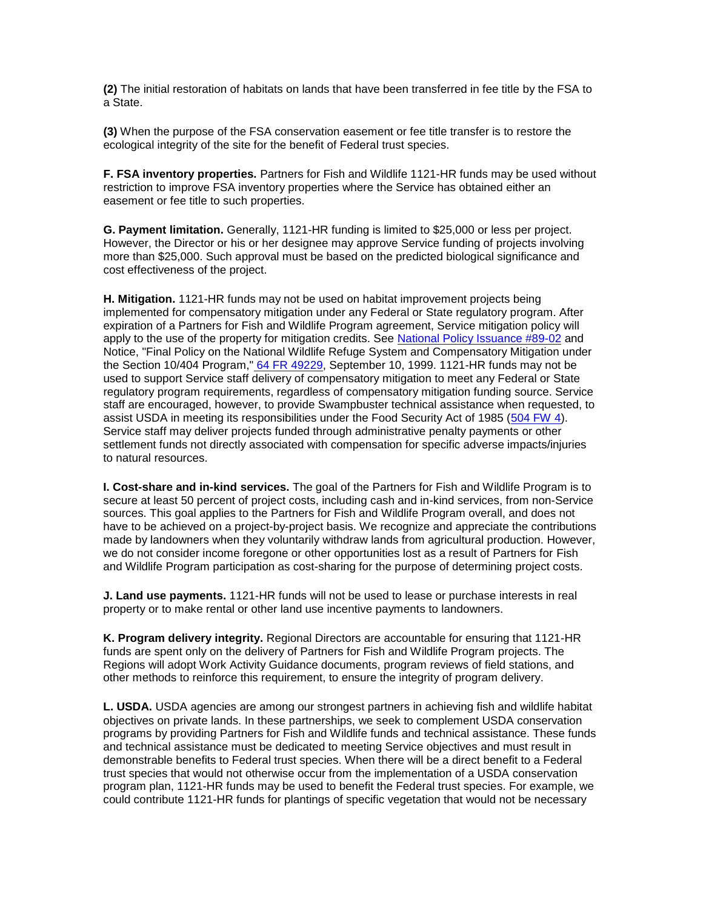**(2)** The initial restoration of habitats on lands that have been transferred in fee title by the FSA to a State.

 **(3)** When the purpose of the FSA conservation easement or fee title transfer is to restore the ecological integrity of the site for the benefit of Federal trust species.

 restriction to improve FSA inventory properties where the Service has obtained either an **F. FSA inventory properties.** Partners for Fish and Wildlife 1121-HR funds may be used without easement or fee title to such properties.

**G. Payment limitation.** Generally, 1121-HR funding is limited to \$25,000 or less per project. However, the Director or his or her designee may approve Service funding of projects involving more than \$25,000. Such approval must be based on the predicted biological significance and cost effectiveness of the project.

 **H. Mitigation.** 1121-HR funds may not be used on habitat improvement projects being expiration of a Partners for Fish and Wildlife Program agreement, Service mitigation policy will Notice, "Final Policy on the National Wildlife Refuge System and Compensatory Mitigation under the Section 10/404 Program,[" 64 FR 49229,](http://www.fws.gov/policy/64fr49229.pdf) September 10, 1999. 1121-HR funds may not be Service staff may deliver projects funded through administrative penalty payments or other settlement funds not directly associated with compensation for specific adverse impacts/injuries implemented for compensatory mitigation under any Federal or State regulatory program. After apply to the use of the property for mitigation credits. See [National Policy Issuance #89-02](http://policy.fws.gov/npi89_02.html) and used to support Service staff delivery of compensatory mitigation to meet any Federal or State regulatory program requirements, regardless of compensatory mitigation funding source. Service staff are encouraged, however, to provide Swampbuster technical assistance when requested, to assist USDA in meeting its responsibilities under the Food Security Act of 1985 [\(504 FW 4\)](http://www.fws.gov/policy/504fw4.html). to natural resources.

 **I. Cost-share and in-kind services.** The goal of the Partners for Fish and Wildlife Program is to made by landowners when they voluntarily withdraw lands from agricultural production. However, secure at least 50 percent of project costs, including cash and in-kind services, from non-Service sources. This goal applies to the Partners for Fish and Wildlife Program overall, and does not have to be achieved on a project-by-project basis. We recognize and appreciate the contributions we do not consider income foregone or other opportunities lost as a result of Partners for Fish and Wildlife Program participation as cost-sharing for the purpose of determining project costs.

 property or to make rental or other land use incentive payments to landowners. **J. Land use payments.** 1121-HR funds will not be used to lease or purchase interests in real

 Regions will adopt Work Activity Guidance documents, program reviews of field stations, and **K. Program delivery integrity.** Regional Directors are accountable for ensuring that 1121-HR funds are spent only on the delivery of Partners for Fish and Wildlife Program projects. The other methods to reinforce this requirement, to ensure the integrity of program delivery.

 **L. USDA.** USDA agencies are among our strongest partners in achieving fish and wildlife habitat objectives on private lands. In these partnerships, we seek to complement USDA conservation programs by providing Partners for Fish and Wildlife funds and technical assistance. These funds and technical assistance must be dedicated to meeting Service objectives and must result in demonstrable benefits to Federal trust species. When there will be a direct benefit to a Federal trust species that would not otherwise occur from the implementation of a USDA conservation program plan, 1121-HR funds may be used to benefit the Federal trust species. For example, we could contribute 1121-HR funds for plantings of specific vegetation that would not be necessary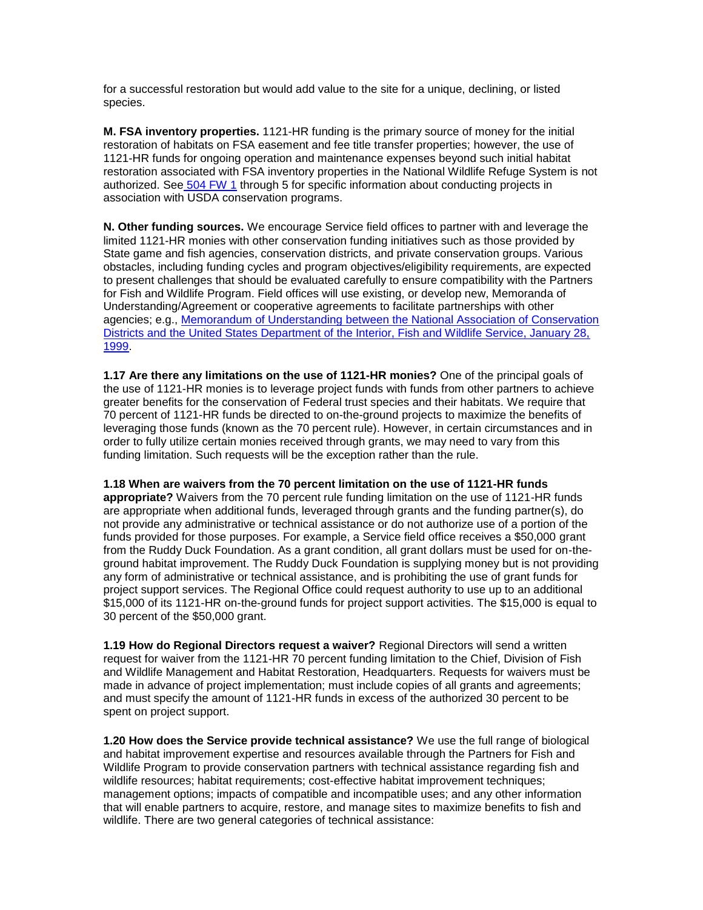for a successful restoration but would add value to the site for a unique, declining, or listed species.

 **M. FSA inventory properties.** 1121-HR funding is the primary source of money for the initial restoration of habitats on FSA easement and fee title transfer properties; however, the use of 1121-HR funds for ongoing operation and maintenance expenses beyond such initial habitat restoration associated with FSA inventory properties in the National Wildlife Refuge System is not authorized. Se[e 504 FW 1](http://www.fws.gov/policy/ser500.html) through 5 for specific information about conducting projects in association with USDA conservation programs.

**N. Other funding sources.** We encourage Service field offices to partner with and leverage the limited 1121-HR monies with other conservation funding initiatives such as those provided by State game and fish agencies, conservation districts, and private conservation groups. Various obstacles, including funding cycles and program objectives/eligibility requirements, are expected to present challenges that should be evaluated carefully to ensure compatibility with the Partners for Fish and Wildlife Program. Field offices will use existing, or develop new, Memoranda of Understanding/Agreement or cooperative agreements to facilitate partnerships with other agencies; e.g., [Memorandum of Understanding between the National Association of Conservation](http://policy.fws.gov/m0218.pdf)  [Districts and the United States Department of the Interior, Fish and Wildlife Service, January 28,](http://policy.fws.gov/m0218.pdf)  [1999.](http://policy.fws.gov/m0218.pdf)

 **1.17 Are there any limitations on the use of 1121-HR monies?** One of the principal goals of funding limitation. Such requests will be the exception rather than the rule. the use of 1121-HR monies is to leverage project funds with funds from other partners to achieve greater benefits for the conservation of Federal trust species and their habitats. We require that 70 percent of 1121-HR funds be directed to on-the-ground projects to maximize the benefits of leveraging those funds (known as the 70 percent rule). However, in certain circumstances and in order to fully utilize certain monies received through grants, we may need to vary from this

#### **1.18 When are waivers from the 70 percent limitation on the use of 1121-HR funds**

 funds provided for those purposes. For example, a Service field office receives a \$50,000 grant **appropriate?** Waivers from the 70 percent rule funding limitation on the use of 1121-HR funds are appropriate when additional funds, leveraged through grants and the funding partner(s), do not provide any administrative or technical assistance or do not authorize use of a portion of the from the Ruddy Duck Foundation. As a grant condition, all grant dollars must be used for on-theground habitat improvement. The Ruddy Duck Foundation is supplying money but is not providing any form of administrative or technical assistance, and is prohibiting the use of grant funds for project support services. The Regional Office could request authority to use up to an additional \$15,000 of its 1121-HR on-the-ground funds for project support activities. The \$15,000 is equal to 30 percent of the \$50,000 grant.

 **1.19 How do Regional Directors request a waiver?** Regional Directors will send a written and must specify the amount of 1121-HR funds in excess of the authorized 30 percent to be request for waiver from the 1121-HR 70 percent funding limitation to the Chief, Division of Fish and Wildlife Management and Habitat Restoration, Headquarters. Requests for waivers must be made in advance of project implementation; must include copies of all grants and agreements; spent on project support.

**1.20 How does the Service provide technical assistance?** We use the full range of biological and habitat improvement expertise and resources available through the Partners for Fish and Wildlife Program to provide conservation partners with technical assistance regarding fish and wildlife resources; habitat requirements; cost-effective habitat improvement techniques; management options; impacts of compatible and incompatible uses; and any other information that will enable partners to acquire, restore, and manage sites to maximize benefits to fish and wildlife. There are two general categories of technical assistance: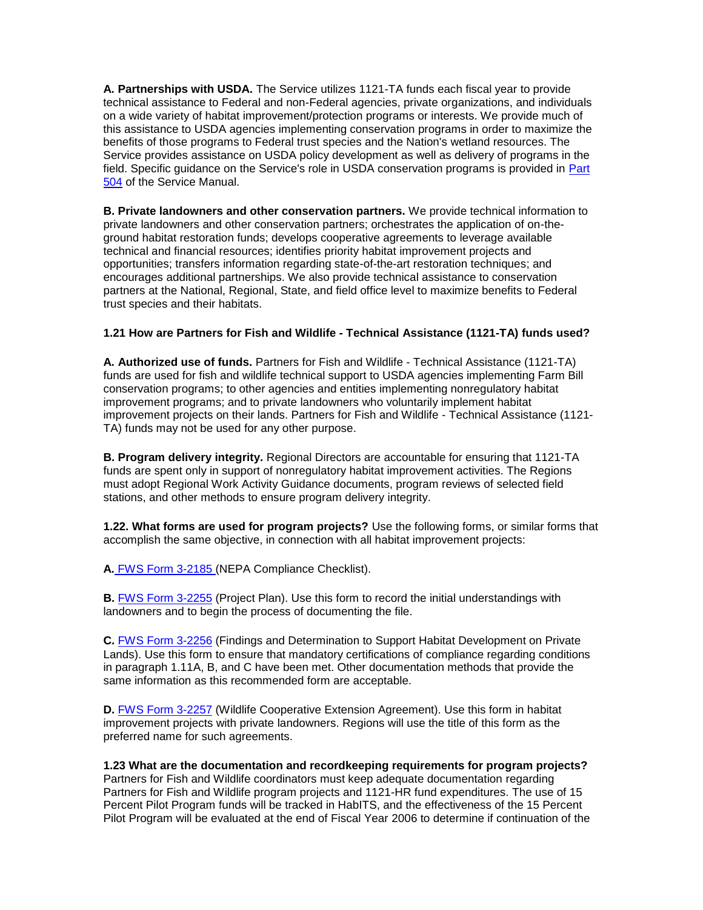**A. Partnerships with USDA.** The Service utilizes 1121-TA funds each fiscal year to provide on a wide variety of habitat improvement/protection programs or interests. We provide much of benefits of those programs to Federal trust species and the Nation's wetland resources. The technical assistance to Federal and non-Federal agencies, private organizations, and individuals this assistance to USDA agencies implementing conservation programs in order to maximize the Service provides assistance on USDA policy development as well as delivery of programs in the field. Specific guidance on the Service's role in USDA conservation programs is provided in Part [504](http://www.fws.gov/policy/ser500.html) of the Service Manual.

 technical and financial resources; identifies priority habitat improvement projects and **B. Private landowners and other conservation partners.** We provide technical information to private landowners and other conservation partners; orchestrates the application of on-theground habitat restoration funds; develops cooperative agreements to leverage available opportunities; transfers information regarding state-of-the-art restoration techniques; and encourages additional partnerships. We also provide technical assistance to conservation partners at the National, Regional, State, and field office level to maximize benefits to Federal trust species and their habitats.

## **1.21 How are Partners for Fish and Wildlife - Technical Assistance (1121-TA) funds used?**

 **A. Authorized use of funds.** Partners for Fish and Wildlife - Technical Assistance (1121-TA) conservation programs; to other agencies and entities implementing nonregulatory habitat improvement programs; and to private landowners who voluntarily implement habitat improvement projects on their lands. Partners for Fish and Wildlife - Technical Assistance (1121 funds are used for fish and wildlife technical support to USDA agencies implementing Farm Bill TA) funds may not be used for any other purpose.

 must adopt Regional Work Activity Guidance documents, program reviews of selected field **B. Program delivery integrity.** Regional Directors are accountable for ensuring that 1121-TA funds are spent only in support of nonregulatory habitat improvement activities. The Regions stations, and other methods to ensure program delivery integrity.

 accomplish the same objective, in connection with all habitat improvement projects: **1.22. What forms are used for program projects?** Use the following forms, or similar forms that

**A[.](http://training.fws.gov/fedaid/toolkit/3-2185.pdf)** [FWS Form 3-2185 \(](http://training.fws.gov/fedaid/toolkit/3-2185.pdf)NEPA Compliance Checklist).

**B.** [FWS Form 3-2255](http://forms.fws.gov/3-2255.pdf) (Project Plan). Use this form to record the initial understandings with landowners and to begin the process of documenting the file.

 in paragraph 1.11A, B, and C have been met. Other documentation methods that provide the **C.** [FWS Form 3-2256](http://forms.fws.gov/3-2256.pdf) (Findings and Determination to Support Habitat Development on Private Lands). Use this form to ensure that mandatory certifications of compliance regarding conditions same information as this recommended form are acceptable.

**D.** [FWS Form 3-2257](http://forms.fws.gov/3-2257.pdf) (Wildlife Cooperative Extension Agreement). Use this form in habitat improvement projects with private landowners. Regions will use the title of this form as the preferred name for such agreements.

# **1.23 What are the documentation and recordkeeping requirements for program projects?**

 Partners for Fish and Wildlife coordinators must keep adequate documentation regarding Pilot Program will be evaluated at the end of Fiscal Year 2006 to determine if continuation of the Partners for Fish and Wildlife program projects and 1121-HR fund expenditures. The use of 15 Percent Pilot Program funds will be tracked in HabITS, and the effectiveness of the 15 Percent